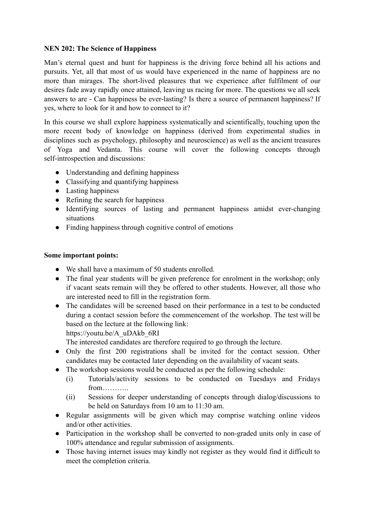## **NEN 202: The Science of Happiness**

Man's eternal quest and hunt for happiness is the driving force behind all his actions and pursuits. Yet, all that most of us would have experienced in the name of happiness are no more than mirages. The short-lived pleasures that we experience after fulfilment of our desires fade away rapidly once attained, leaving us racing for more. The questions we all seek answers to are - Can happiness be ever-lasting? Is there a source of permanent happiness? If yes, where to look for it and how to connect to it?

In this course we shall explore happiness systematically and scientifically, touching upon the more recent body of knowledge on happiness (derived from experimental studies in disciplines such as psychology, philosophy and neuroscience) as well as the ancient treasures of Yoga and Vedanta. This course will cover the following concepts through self-introspection and discussions:

- Understanding and defining happiness
- Classifying and quantifying happiness
- Lasting happiness
- Refining the search for happiness
- Identifying sources of lasting and permanent happiness amidst ever-changing situations
- Finding happiness through cognitive control of emotions

## **Some important points:**

- We shall have a maximum of 50 students enrolled.
- The final year students will be given preference for enrolment in the workshop; only if vacant seats remain will they be offered to other students. However, all those who are interested need to fill in the registration form.
- The candidates will be screened based on their performance in a test to be conducted during a contact session before the commencement of the workshop. The test will be based on the lecture at the following link:

https://youtu.be/A\_uDAkb\_6RI

The interested candidates are therefore required to go through the lecture.

- Only the first 200 registrations shall be invited for the contact session. Other candidates may be contacted later depending on the availability of vacant seats.
- The workshop sessions would be conducted as per the following schedule:
	- (i) Tutorials/activity sessions to be conducted on Tuesdays and Fridays from………..
	- (ii) Sessions for deeper understanding of concepts through dialog/discussions to be held on Saturdays from 10 am to 11:30 am.
- Regular assignments will be given which may comprise watching online videos and/or other activities.
- Participation in the workshop shall be converted to non-graded units only in case of 100% attendance and regular submission of assignments.
- Those having internet issues may kindly not register as they would find it difficult to meet the completion criteria.